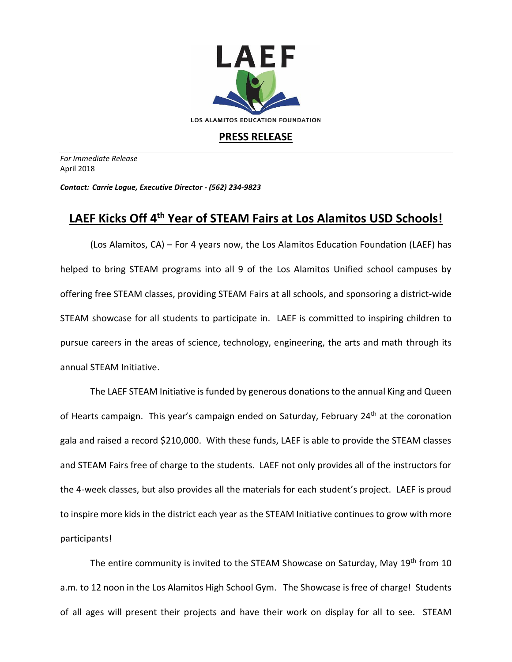

## **PRESS RELEASE**

*For Immediate Release*  April 2018

*Contact: Carrie Logue, Executive Director - (562) 234-9823*

## **LAEF Kicks Off 4 th Year of STEAM Fairs at Los Alamitos USD Schools!**

(Los Alamitos, CA) – For 4 years now, the Los Alamitos Education Foundation (LAEF) has helped to bring STEAM programs into all 9 of the Los Alamitos Unified school campuses by offering free STEAM classes, providing STEAM Fairs at all schools, and sponsoring a district-wide STEAM showcase for all students to participate in. LAEF is committed to inspiring children to pursue careers in the areas of science, technology, engineering, the arts and math through its annual STEAM Initiative.

The LAEF STEAM Initiative is funded by generous donations to the annual King and Queen of Hearts campaign. This year's campaign ended on Saturday, February 24<sup>th</sup> at the coronation gala and raised a record \$210,000. With these funds, LAEF is able to provide the STEAM classes and STEAM Fairs free of charge to the students. LAEF not only provides all of the instructors for the 4-week classes, but also provides all the materials for each student's project. LAEF is proud to inspire more kids in the district each year as the STEAM Initiative continues to grow with more participants!

The entire community is invited to the STEAM Showcase on Saturday, May 19<sup>th</sup> from 10 a.m. to 12 noon in the Los Alamitos High School Gym. The Showcase is free of charge! Students of all ages will present their projects and have their work on display for all to see. STEAM